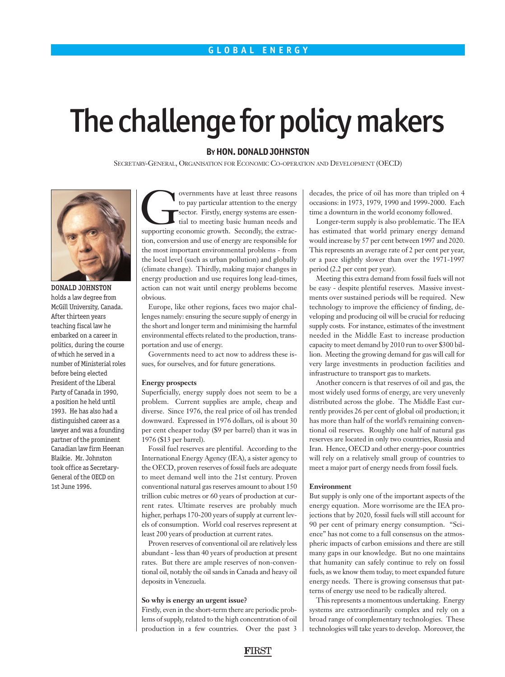# The challenge for policy makers

# **BYHON. DONALD JOHNSTON**

SECRETARY-GENERAL, ORGANISATION FOR ECONOMIC CO-OPERATION AND DEVELOPMENT (OECD)



DONALD JOHNSTON holds a law degree from McGill University, Canada. After thirteen years teaching fiscal law he embarked on a career in politics, during the course of which he served in a number of Ministerial roles before being elected President of the Liberal Party of Canada in 1990, a position he held until 1993. He has also had a distinguished career as a lawyer and was a founding partner of the prominent Canadian law firm Heenan Blaikie. Mr. Johnston took office as Secretary-General of the OECD on 1st June 1996.

The covernments have at least three reasons<br>to pay particular attention to the energy<br>sector. Firstly, energy systems are essen-<br>tial to meeting basic human needs and<br>supporting economic growth. Secondly, the extracto pay particular attention to the energy sector. Firstly, energy systems are essential to meeting basic human needs and tion, conversion and use of energy are responsible for the most important environmental problems - from the local level (such as urban pollution) and globally (climate change). Thirdly, making major changes in energy production and use requires long lead-times, action can not wait until energy problems become obvious.

Europe, like other regions, faces two major challenges namely: ensuring the secure supply of energy in the short and longer term and minimising the harmful environmental effects related to the production, transportation and use of energy.

Governments need to act now to address these issues, for ourselves, and for future generations.

#### **Energy prospects**

Superficially, energy supply does not seem to be a problem. Current supplies are ample, cheap and diverse. Since 1976, the real price of oil has trended downward. Expressed in 1976 dollars, oil is about 30 per cent cheaper today (\$9 per barrel) than it was in 1976 (\$13 per barrel).

Fossil fuel reserves are plentiful. According to the International Energy Agency (IEA), a sister agency to the OECD, proven reserves of fossil fuels are adequate to meet demand well into the 21st century. Proven conventional natural gas reserves amount to about 150 trillion cubic metres or 60 years of production at current rates. Ultimate reserves are probably much higher, perhaps 170-200 years of supply at current levels of consumption. World coal reserves represent at least 200 years of production at current rates.

Proven reserves of conventional oil are relatively less abundant - less than 40 years of production at present rates. But there are ample reserves of non-conventional oil, notably the oil sands in Canada and heavy oil deposits in Venezuela.

#### **So why is energy an urgent issue?**

Firstly, even in the short-term there are periodic problems of supply, related to the high concentration of oil production in a few countries. Over the past 3 decades, the price of oil has more than tripled on 4 occasions: in 1973, 1979, 1990 and 1999-2000. Each time a downturn in the world economy followed.

Longer-term supply is also problematic. The IEA has estimated that world primary energy demand would increase by 57 per cent between 1997 and 2020. This represents an average rate of 2 per cent per year, or a pace slightly slower than over the 1971-1997 period (2.2 per cent per year).

Meeting this extra demand from fossil fuels will not be easy - despite plentiful reserves. Massive investments over sustained periods will be required. New technology to improve the efficiency of finding, developing and producing oil will be crucial for reducing supply costs. For instance, estimates of the investment needed in the Middle East to increase production capacity to meet demand by 2010 run to over \$300 billion. Meeting the growing demand for gas will call for very large investments in production facilities and infrastructure to transport gas to markets.

Another concern is that reserves of oil and gas, the most widely used forms of energy, are very unevenly distributed across the globe. The Middle East currently provides 26 per cent of global oil production; it has more than half of the world's remaining conventional oil reserves. Roughly one half of natural gas reserves are located in only two countries, Russia and Iran. Hence, OECD and other energy-poor countries will rely on a relatively small group of countries to meet a major part of energy needs from fossil fuels.

### **Environment**

But supply is only one of the important aspects of the energy equation. More worrisome are the IEA projections that by 2020, fossil fuels will still account for 90 per cent of primary energy consumption. "Science" has not come to a full consensus on the atmospheric impacts of carbon emissions and there are still many gaps in our knowledge. But no one maintains that humanity can safely continue to rely on fossil fuels, as we know them today, to meet expanded future energy needs. There is growing consensus that patterns of energy use need to be radically altered.

This represents a momentous undertaking. Energy systems are extraordinarily complex and rely on a broad range of complementary technologies. These technologies will take years to develop. Moreover, the

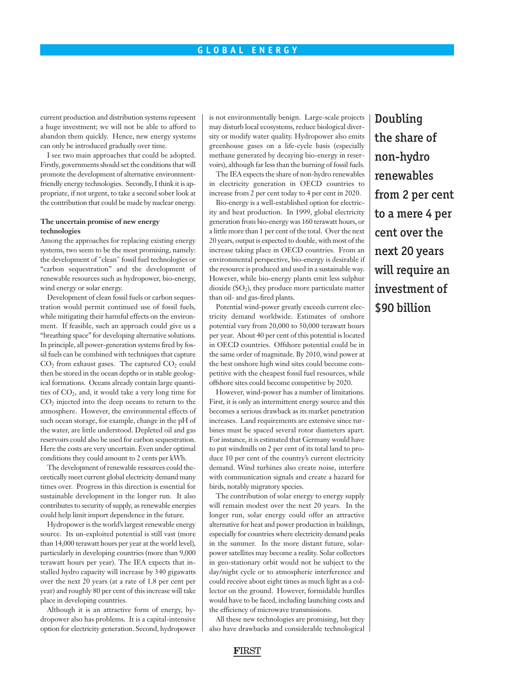# **GLOBAL ENERGY**

current production and distribution systems represent a huge investment; we will not be able to afford to abandon them quickly. Hence, new energy systems can only be introduced gradually over time.

I see two main approaches that could be adopted. Firstly, governments should set the conditions that will promote the development of alternative environmentfriendly energy technologies. Secondly, I think it is appropriate, if not urgent, to take a second sober look at the contribution that could be made by nuclear energy.

## **The uncertain promise of new energy technologies**

Among the approaches for replacing existing energy systems, two seem to be the most promising, namely: the development of "clean" fossil fuel technologies or "carbon sequestration" and the development of renewable resources such as hydropower, bio-energy, wind energy or solar energy.

Development of clean fossil fuels or carbon sequestration would permit continued use of fossil fuels, while mitigating their harmful effects on the environment. If feasible, such an approach could give us a "breathing space" for developing alternative solutions. In principle, all power-generation systems fired by fossil fuels can be combined with techniques that capture  $CO<sub>2</sub>$  from exhaust gases. The captured  $CO<sub>2</sub>$  could then be stored in the ocean depths or in stable geological formations. Oceans already contain large quantities of  $CO<sub>2</sub>$ , and, it would take a very long time for  $CO<sub>2</sub>$  injected into the deep oceans to return to the atmosphere. However, the environmental effects of such ocean storage, for example, change in the pH of the water, are little understood. Depleted oil and gas reservoirs could also be used for carbon sequestration. Here the costs are very uncertain. Even under optimal conditions they could amount to 2 cents per kWh.

The development of renewable resources could theoretically meet current global electricity demand many times over. Progress in this direction is essential for sustainable development in the longer run. It also contributes to security of supply, as renewable energies could help limit import dependence in the future.

Hydropower is the world's largest renewable energy source. Its un-exploited potential is still vast (more than 14,000 terawatt hours per year at the world level), particularly in developing countries (more than 9,000 terawatt hours per year). The IEA expects that installed hydro capacity will increase by 340 gigawatts over the next 20 years (at a rate of 1.8 per cent per year) and roughly 80 per cent of this increase will take place in developing countries.

Although it is an attractive form of energy, hydropower also has problems. It is a capital-intensive option for electricity generation. Second, hydropower is not environmentally benign. Large-scale projects may disturb local ecosystems, reduce biological diversity or modify water quality. Hydropower also emits greenhouse gases on a life-cycle basis (especially methane generated by decaying bio-energy in reservoirs), although far less than the burning of fossil fuels.

The IEA expects the share of non-hydro renewables in electricity generation in OECD countries to increase from 2 per cent today to 4 per cent in 2020.

Bio-energy is a well-established option for electricity and heat production. In 1999, global electricity generation from bio-energy was 160 terawatt hours, or a little more than 1 per cent of the total. Over the next 20 years, output is expected to double, with most of the increase taking place in OECD countries. From an environmental perspective, bio-energy is desirable if the resource is produced and used in a sustainable way. However, while bio-energy plants emit less sulphur dioxide  $(SO<sub>2</sub>)$ , they produce more particulate matter than oil- and gas-fired plants.

Potential wind-power greatly exceeds current electricity demand worldwide. Estimates of onshore potential vary from 20,000 to 50,000 terawatt hours per year. About 40 per cent of this potential is located in OECD countries. Offshore potential could be in the same order of magnitude. By 2010, wind power at the best onshore high wind sites could become competitive with the cheapest fossil fuel resources, while offshore sites could become competitive by 2020.

However, wind-power has a number of limitations. First, it is only an intermittent energy source and this becomes a serious drawback as its market penetration increases. Land requirements are extensive since turbines must be spaced several rotor diameters apart. For instance, it is estimated that Germany would have to put windmills on 2 per cent of its total land to produce 10 per cent of the country's current electricity demand. Wind turbines also create noise, interfere with communication signals and create a hazard for birds, notably migratory species.

The contribution of solar energy to energy supply will remain modest over the next 20 years. In the longer run, solar energy could offer an attractive alternative for heat and power production in buildings, especially for countries where electricity demand peaks in the summer. In the more distant future, solarpower satellites may become a reality. Solar collectors in geo-stationary orbit would not be subject to the day/night cycle or to atmospheric interference and could receive about eight times as much light as a collector on the ground. However, formidable hurdles would have to be faced, including launching costs and the efficiency of microwave transmissions.

All these new technologies are promising, but they also have drawbacks and considerable technological Doubling the share of non-hydro renewables from 2 per cent to a mere 4 per cent over the next 20 years will require an investment of \$90 billion